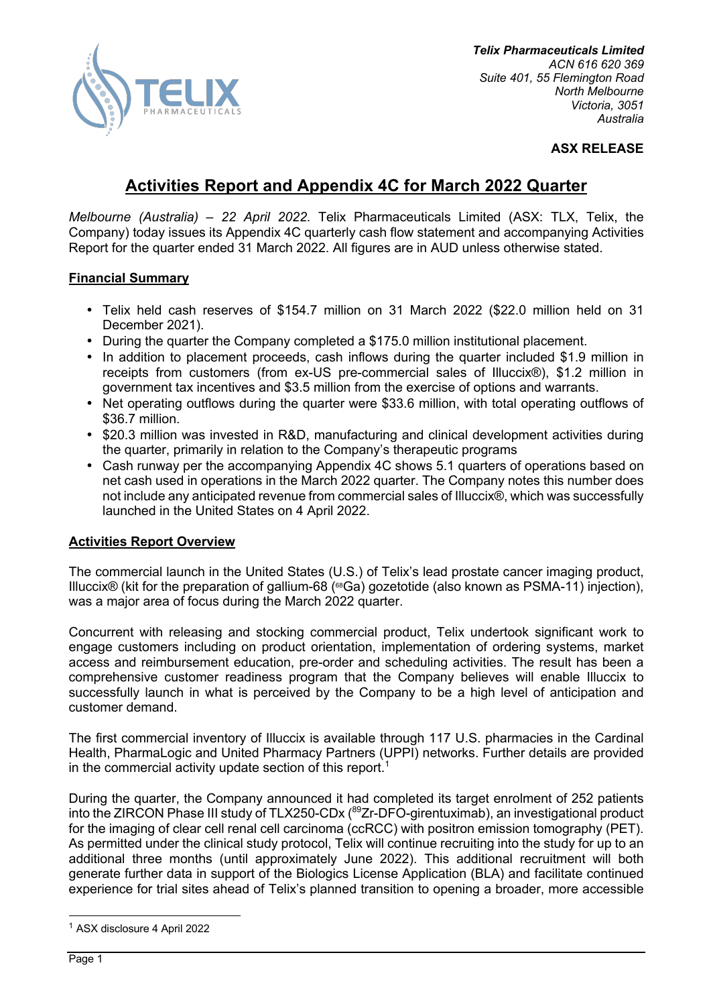

*Telix Pharmaceuticals Limited ACN 616 620 369 Suite 401, 55 Flemington Road North Melbourne Victoria, 3051 Australia*

#### **ASX RELEASE**

# **Activities Report and Appendix 4C for March 2022 Quarter**

*Melbourne (Australia) – 22 April 2022*. Telix Pharmaceuticals Limited (ASX: TLX, Telix, the Company) today issues its Appendix 4C quarterly cash flow statement and accompanying Activities Report for the quarter ended 31 March 2022. All figures are in AUD unless otherwise stated.

#### **Financial Summary**

- Telix held cash reserves of \$154.7 million on 31 March 2022 (\$22.0 million held on 31 December 2021).
- During the quarter the Company completed a \$175.0 million institutional placement.
- In addition to placement proceeds, cash inflows during the quarter included \$1.9 million in receipts from customers (from ex-US pre-commercial sales of Illuccix®), \$1.2 million in government tax incentives and \$3.5 million from the exercise of options and warrants.
- Net operating outflows during the quarter were \$33.6 million, with total operating outflows of \$36.7 million.
- \$20.3 million was invested in R&D, manufacturing and clinical development activities during the quarter, primarily in relation to the Company's therapeutic programs
- Cash runway per the accompanying Appendix 4C shows 5.1 quarters of operations based on net cash used in operations in the March 2022 quarter. The Company notes this number does not include any anticipated revenue from commercial sales of Illuccix®, which was successfully launched in the United States on 4 April 2022.

### **Activities Report Overview**

The commercial launch in the United States (U.S.) of Telix's lead prostate cancer imaging product, Illuccix® (kit for the preparation of gallium-68 (<sup>68</sup>Ga) gozetotide (also known as PSMA-11) injection), was a major area of focus during the March 2022 quarter.

Concurrent with releasing and stocking commercial product, Telix undertook significant work to engage customers including on product orientation, implementation of ordering systems, market access and reimbursement education, pre-order and scheduling activities. The result has been a comprehensive customer readiness program that the Company believes will enable Illuccix to successfully launch in what is perceived by the Company to be a high level of anticipation and customer demand.

The first commercial inventory of Illuccix is available through 117 U.S. pharmacies in the Cardinal Health, PharmaLogic and United Pharmacy Partners (UPPI) networks. Further details are provided in the commercial activity update section of this report.<sup>1</sup>

During the quarter, the Company announced it had completed its target enrolment of 252 patients into the ZIRCON Phase III study of TLX250-CDx (<sup>89</sup>Zr-DFO-girentuximab), an investigational product for the imaging of clear cell renal cell carcinoma (ccRCC) with positron emission tomography (PET). As permitted under the clinical study protocol, Telix will continue recruiting into the study for up to an additional three months (until approximately June 2022). This additional recruitment will both generate further data in support of the Biologics License Application (BLA) and facilitate continued experience for trial sites ahead of Telix's planned transition to opening a broader, more accessible

<sup>1</sup> ASX disclosure 4 April 2022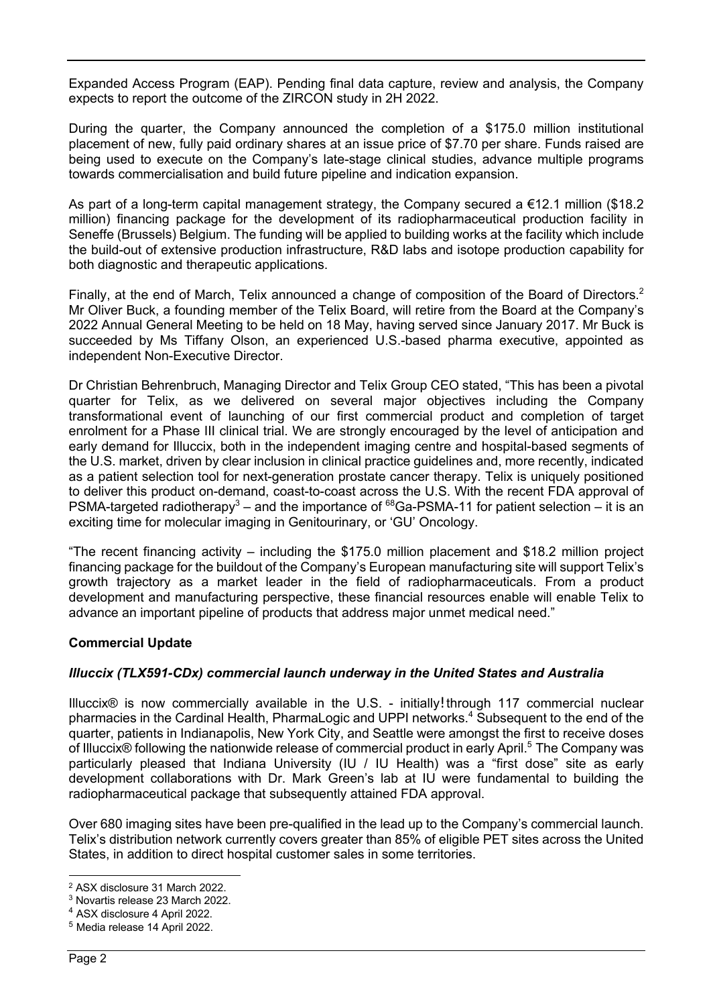Expanded Access Program (EAP). Pending final data capture, review and analysis, the Company expects to report the outcome of the ZIRCON study in 2H 2022.

During the quarter, the Company announced the completion of a \$175.0 million institutional placement of new, fully paid ordinary shares at an issue price of \$7.70 per share. Funds raised are being used to execute on the Company's late-stage clinical studies, advance multiple programs towards commercialisation and build future pipeline and indication expansion.

As part of a long-term capital management strategy, the Company secured a €12.1 million (\$18.2 million) financing package for the development of its radiopharmaceutical production facility in Seneffe (Brussels) Belgium. The funding will be applied to building works at the facility which include the build-out of extensive production infrastructure, R&D labs and isotope production capability for both diagnostic and therapeutic applications.

Finally, at the end of March, Telix announced a change of composition of the Board of Directors.<sup>2</sup> Mr Oliver Buck, a founding member of the Telix Board, will retire from the Board at the Company's 2022 Annual General Meeting to be held on 18 May, having served since January 2017. Mr Buck is succeeded by Ms Tiffany Olson, an experienced U.S.-based pharma executive, appointed as independent Non-Executive Director.

Dr Christian Behrenbruch, Managing Director and Telix Group CEO stated, "This has been a pivotal quarter for Telix, as we delivered on several major objectives including the Company transformational event of launching of our first commercial product and completion of target enrolment for a Phase III clinical trial. We are strongly encouraged by the level of anticipation and early demand for Illuccix, both in the independent imaging centre and hospital-based segments of the U.S. market, driven by clear inclusion in clinical practice guidelines and, more recently, indicated as a patient selection tool for next-generation prostate cancer therapy. Telix is uniquely positioned to deliver this product on-demand, coast-to-coast across the U.S. With the recent FDA approval of PSMA-targeted radiotherapy<sup>3</sup> – and the importance of  $^{68}$ Ga-PSMA-11 for patient selection – it is an exciting time for molecular imaging in Genitourinary, or 'GU' Oncology.

"The recent financing activity – including the \$175.0 million placement and \$18.2 million project financing package for the buildout of the Company's European manufacturing site will support Telix's growth trajectory as a market leader in the field of radiopharmaceuticals. From a product development and manufacturing perspective, these financial resources enable will enable Telix to advance an important pipeline of products that address major unmet medical need."

### **Commercial Update**

### *Illuccix (TLX591-CDx) commercial launch underway in the United States and Australia*

Illuccix® is now commercially available in the U.S. - initially through 117 commercial nuclear pharmacies in the Cardinal Health, PharmaLogic and UPPI networks. <sup>4</sup> Subsequent to the end of the quarter, patients in Indianapolis, New York City, and Seattle were amongst the first to receive doses of Illuccix® following the nationwide release of commercial product in early April.<sup>5</sup> The Company was particularly pleased that Indiana University (IU / IU Health) was a "first dose" site as early development collaborations with Dr. Mark Green's lab at IU were fundamental to building the radiopharmaceutical package that subsequently attained FDA approval.

Over 680 imaging sites have been pre-qualified in the lead up to the Company's commercial launch. Telix's distribution network currently covers greater than 85% of eligible PET sites across the United States, in addition to direct hospital customer sales in some territories.

<sup>2</sup> ASX disclosure 31 March 2022.

<sup>3</sup> Novartis release 23 March 2022.

<sup>4</sup> ASX disclosure 4 April 2022.

<sup>5</sup> Media release 14 April 2022.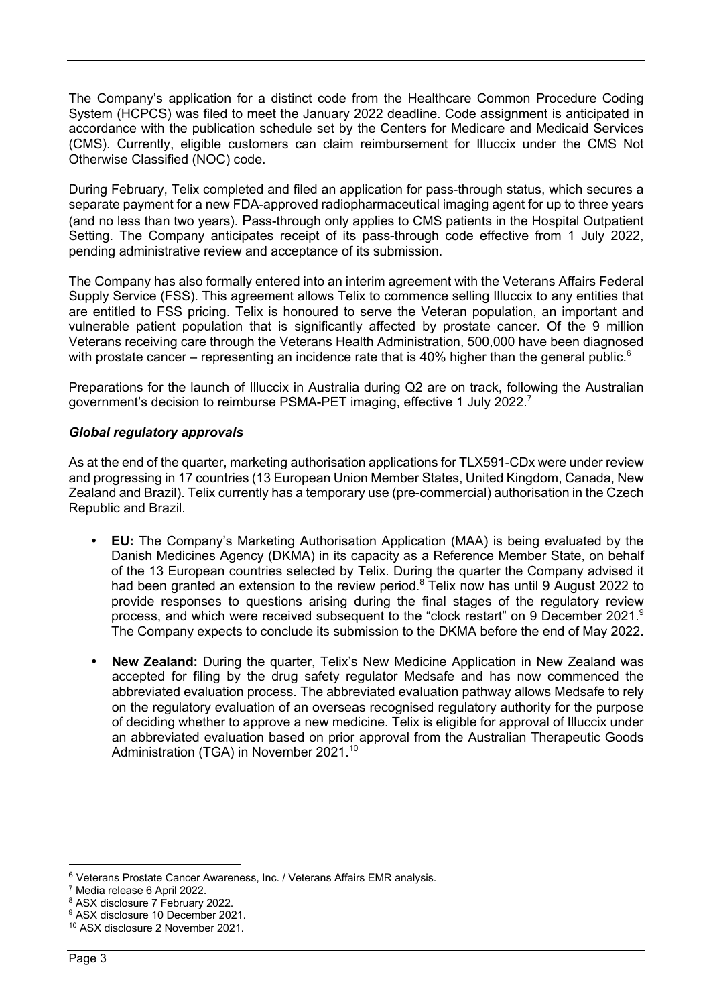The Company's application for a distinct code from the Healthcare Common Procedure Coding System (HCPCS) was filed to meet the January 2022 deadline. Code assignment is anticipated in accordance with the publication schedule set by the Centers for Medicare and Medicaid Services (CMS). Currently, eligible customers can claim reimbursement for Illuccix under the CMS Not Otherwise Classified (NOC) code.

During February, Telix completed and filed an application for pass-through status, which secures a separate payment for a new FDA-approved radiopharmaceutical imaging agent for up to three years (and no less than two years). Pass-through only applies to CMS patients in the Hospital Outpatient Setting. The Company anticipates receipt of its pass-through code effective from 1 July 2022, pending administrative review and acceptance of its submission.

The Company has also formally entered into an interim agreement with the Veterans Affairs Federal Supply Service (FSS). This agreement allows Telix to commence selling Illuccix to any entities that are entitled to FSS pricing. Telix is honoured to serve the Veteran population, an important and vulnerable patient population that is significantly affected by prostate cancer. Of the 9 million Veterans receiving care through the Veterans Health Administration, 500,000 have been diagnosed with prostate cancer – representing an incidence rate that is 40% higher than the general public.<sup>6</sup>

Preparations for the launch of Illuccix in Australia during Q2 are on track, following the Australian government's decision to reimburse PSMA-PET imaging, effective 1 July 2022.<sup>7</sup>

#### *Global regulatory approvals*

As at the end of the quarter, marketing authorisation applications for TLX591-CDx were under review and progressing in 17 countries (13 European Union Member States, United Kingdom, Canada, New Zealand and Brazil). Telix currently has a temporary use (pre-commercial) authorisation in the Czech Republic and Brazil.

- **EU:** The Company's Marketing Authorisation Application (MAA) is being evaluated by the Danish Medicines Agency (DKMA) in its capacity as a Reference Member State, on behalf of the 13 European countries selected by Telix. During the quarter the Company advised it had been granted an extension to the review period.<sup>8</sup> Telix now has until 9 August 2022 to provide responses to questions arising during the final stages of the regulatory review process, and which were received subsequent to the "clock restart" on 9 December 2021.<sup>9</sup> The Company expects to conclude its submission to the DKMA before the end of May 2022.
- **New Zealand:** During the quarter, Telix's New Medicine Application in New Zealand was accepted for filing by the drug safety regulator Medsafe and has now commenced the abbreviated evaluation process. The abbreviated evaluation pathway allows Medsafe to rely on the regulatory evaluation of an overseas recognised regulatory authority for the purpose of deciding whether to approve a new medicine. Telix is eligible for approval of Illuccix under an abbreviated evaluation based on prior approval from the Australian Therapeutic Goods Administration (TGA) in November 2021.<sup>10</sup>

<sup>&</sup>lt;sup>6</sup> Veterans Prostate Cancer Awareness, Inc. / Veterans Affairs EMR analysis.

<sup>7</sup> Media release 6 April 2022.

<sup>8</sup> ASX disclosure 7 February 2022.

<sup>9</sup> ASX disclosure 10 December 2021.

<sup>10</sup> ASX disclosure 2 November 2021.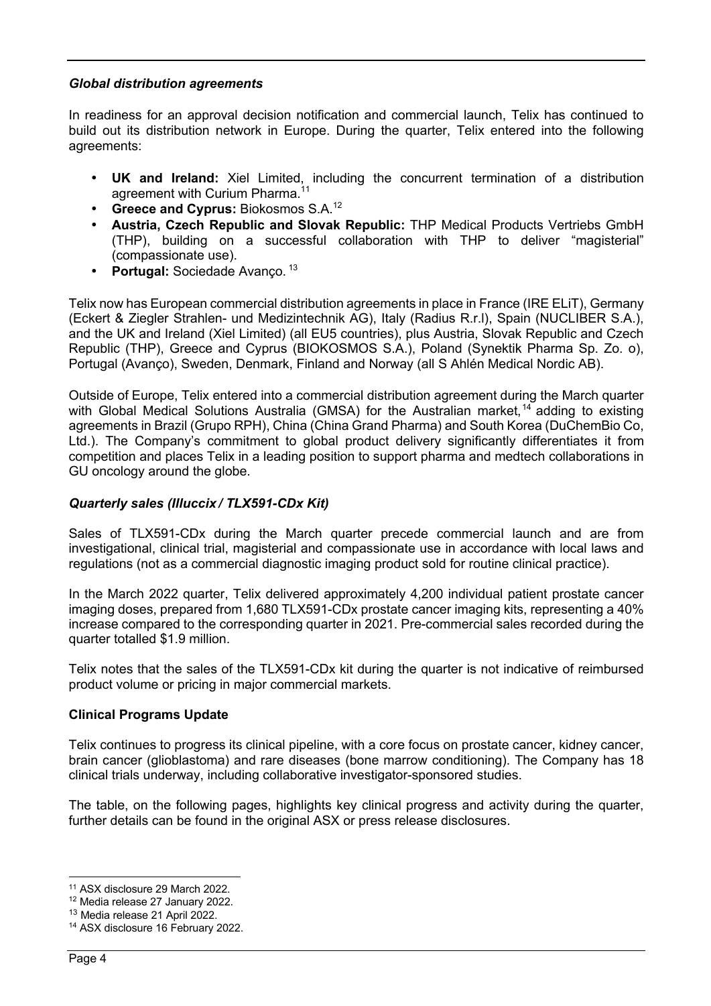#### *Global distribution agreements*

In readiness for an approval decision notification and commercial launch, Telix has continued to build out its distribution network in Europe. During the quarter, Telix entered into the following agreements:

- **UK and Ireland:** Xiel Limited, including the concurrent termination of a distribution agreement with Curium Pharma.<sup>11</sup>
- **Greece and Cyprus:** Biokosmos S.A.<sup>12</sup>
- **Austria, Czech Republic and Slovak Republic:** THP Medical Products Vertriebs GmbH (THP), building on a successful collaboration with THP to deliver "magisterial" (compassionate use).
- **Portugal: Sociedade Avanço.** 13

Telix now has European commercial distribution agreements in place in France (IRE ELiT), Germany (Eckert & Ziegler Strahlen- und Medizintechnik AG), Italy (Radius R.r.l), Spain (NUCLIBER S.A.), and the UK and Ireland (Xiel Limited) (all EU5 countries), plus Austria, Slovak Republic and Czech Republic (THP), Greece and Cyprus (BIOKOSMOS S.A.), Poland (Synektik Pharma Sp. Zo. o), Portugal (Avanço), Sweden, Denmark, Finland and Norway (all S Ahlén Medical Nordic AB).

Outside of Europe, Telix entered into a commercial distribution agreement during the March quarter with Global Medical Solutions Australia (GMSA) for the Australian market,<sup>14</sup> adding to existing agreements in Brazil (Grupo RPH), China (China Grand Pharma) and South Korea (DuChemBio Co, Ltd.). The Company's commitment to global product delivery significantly differentiates it from competition and places Telix in a leading position to support pharma and medtech collaborations in GU oncology around the globe.

### *Quarterly sales (Illuccix / TLX591-CDx Kit)*

Sales of TLX591-CDx during the March quarter precede commercial launch and are from investigational, clinical trial, magisterial and compassionate use in accordance with local laws and regulations (not as a commercial diagnostic imaging product sold for routine clinical practice).

In the March 2022 quarter, Telix delivered approximately 4,200 individual patient prostate cancer imaging doses, prepared from 1,680 TLX591-CDx prostate cancer imaging kits, representing a 40% increase compared to the corresponding quarter in 2021. Pre-commercial sales recorded during the quarter totalled \$1.9 million.

Telix notes that the sales of the TLX591-CDx kit during the quarter is not indicative of reimbursed product volume or pricing in major commercial markets.

#### **Clinical Programs Update**

Telix continues to progress its clinical pipeline, with a core focus on prostate cancer, kidney cancer, brain cancer (glioblastoma) and rare diseases (bone marrow conditioning). The Company has 18 clinical trials underway, including collaborative investigator-sponsored studies.

The table, on the following pages, highlights key clinical progress and activity during the quarter, further details can be found in the original ASX or press release disclosures.

<sup>11</sup> ASX disclosure 29 March 2022.

<sup>12</sup> Media release 27 January 2022.

<sup>13</sup> Media release 21 April 2022.

<sup>14</sup> ASX disclosure 16 February 2022.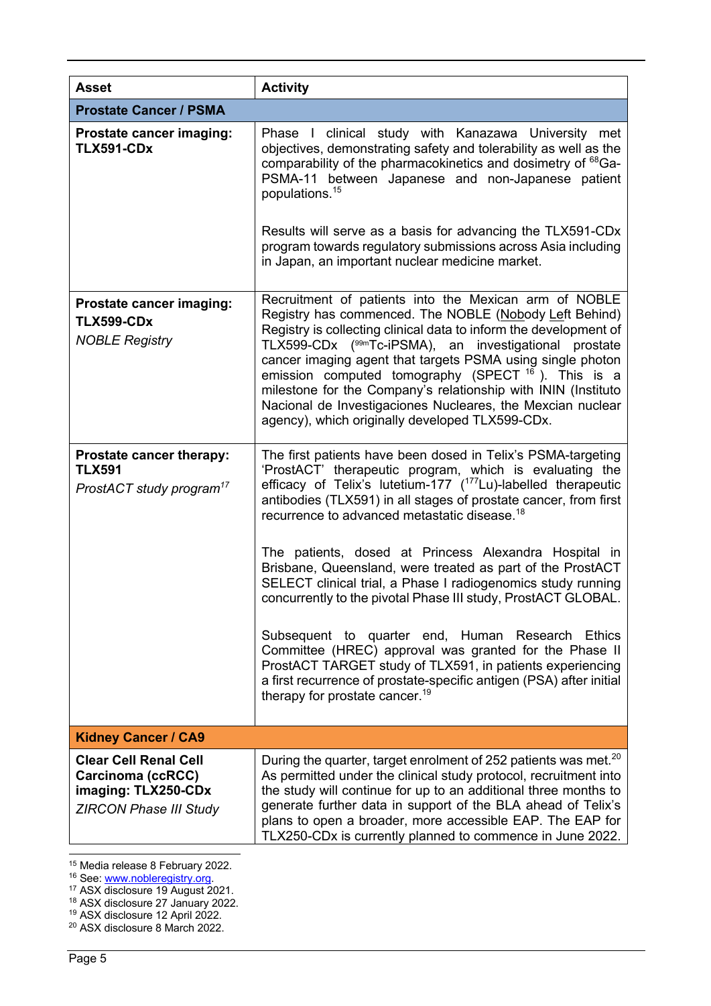| <b>Asset</b>                                                                                              | <b>Activity</b>                                                                                                                                                                                                                                                                                                                                                                                                                                                                                                                                                                                                                                                                                                                                                                                                                                                                               |  |
|-----------------------------------------------------------------------------------------------------------|-----------------------------------------------------------------------------------------------------------------------------------------------------------------------------------------------------------------------------------------------------------------------------------------------------------------------------------------------------------------------------------------------------------------------------------------------------------------------------------------------------------------------------------------------------------------------------------------------------------------------------------------------------------------------------------------------------------------------------------------------------------------------------------------------------------------------------------------------------------------------------------------------|--|
| <b>Prostate Cancer / PSMA</b>                                                                             |                                                                                                                                                                                                                                                                                                                                                                                                                                                                                                                                                                                                                                                                                                                                                                                                                                                                                               |  |
| <b>Prostate cancer imaging:</b><br><b>TLX591-CDx</b>                                                      | Phase I clinical study with Kanazawa University met<br>objectives, demonstrating safety and tolerability as well as the<br>comparability of the pharmacokinetics and dosimetry of <sup>68</sup> Ga-<br>PSMA-11 between Japanese and non-Japanese patient<br>populations. <sup>15</sup><br>Results will serve as a basis for advancing the TLX591-CDx<br>program towards regulatory submissions across Asia including<br>in Japan, an important nuclear medicine market.                                                                                                                                                                                                                                                                                                                                                                                                                       |  |
| <b>Prostate cancer imaging:</b><br><b>TLX599-CDx</b><br><b>NOBLE Registry</b>                             | Recruitment of patients into the Mexican arm of NOBLE<br>Registry has commenced. The NOBLE (Nobody Left Behind)<br>Registry is collecting clinical data to inform the development of<br>TLX599-CDx (99mTc-iPSMA), an investigational prostate<br>cancer imaging agent that targets PSMA using single photon<br>emission computed tomography (SPECT $16$ ). This is a<br>milestone for the Company's relationship with ININ (Instituto<br>Nacional de Investigaciones Nucleares, the Mexcian nuclear<br>agency), which originally developed TLX599-CDx.                                                                                                                                                                                                                                                                                                                                        |  |
| Prostate cancer therapy:<br><b>TLX591</b><br>ProstACT study program <sup>17</sup>                         | The first patients have been dosed in Telix's PSMA-targeting<br>'ProstACT' therapeutic program, which is evaluating the<br>efficacy of Telix's lutetium-177 ( <sup>177</sup> Lu)-labelled therapeutic<br>antibodies (TLX591) in all stages of prostate cancer, from first<br>recurrence to advanced metastatic disease. <sup>18</sup><br>The patients, dosed at Princess Alexandra Hospital in<br>Brisbane, Queensland, were treated as part of the ProstACT<br>SELECT clinical trial, a Phase I radiogenomics study running<br>concurrently to the pivotal Phase III study, ProstACT GLOBAL.<br>Subsequent to quarter end, Human Research Ethics<br>Committee (HREC) approval was granted for the Phase II<br>ProstACT TARGET study of TLX591, in patients experiencing<br>a first recurrence of prostate-specific antigen (PSA) after initial<br>therapy for prostate cancer. <sup>19</sup> |  |
| <b>Kidney Cancer / CA9</b>                                                                                |                                                                                                                                                                                                                                                                                                                                                                                                                                                                                                                                                                                                                                                                                                                                                                                                                                                                                               |  |
| <b>Clear Cell Renal Cell</b><br>Carcinoma (ccRCC)<br>imaging: TLX250-CDx<br><b>ZIRCON Phase III Study</b> | During the quarter, target enrolment of 252 patients was met. <sup>20</sup><br>As permitted under the clinical study protocol, recruitment into<br>the study will continue for up to an additional three months to<br>generate further data in support of the BLA ahead of Telix's<br>plans to open a broader, more accessible EAP. The EAP for<br>TLX250-CDx is currently planned to commence in June 2022.                                                                                                                                                                                                                                                                                                                                                                                                                                                                                  |  |

<sup>15</sup> Media release 8 February 2022.

<sup>16</sup> See: <u>www.nobleregistry.org</u>.<br><sup>17</sup> ASX disclosure 19 August 2021.

<sup>&</sup>lt;sup>18</sup> ASX disclosure 27 January 2022.

<sup>19</sup> ASX disclosure 12 April 2022.

<sup>20</sup> ASX disclosure 8 March 2022.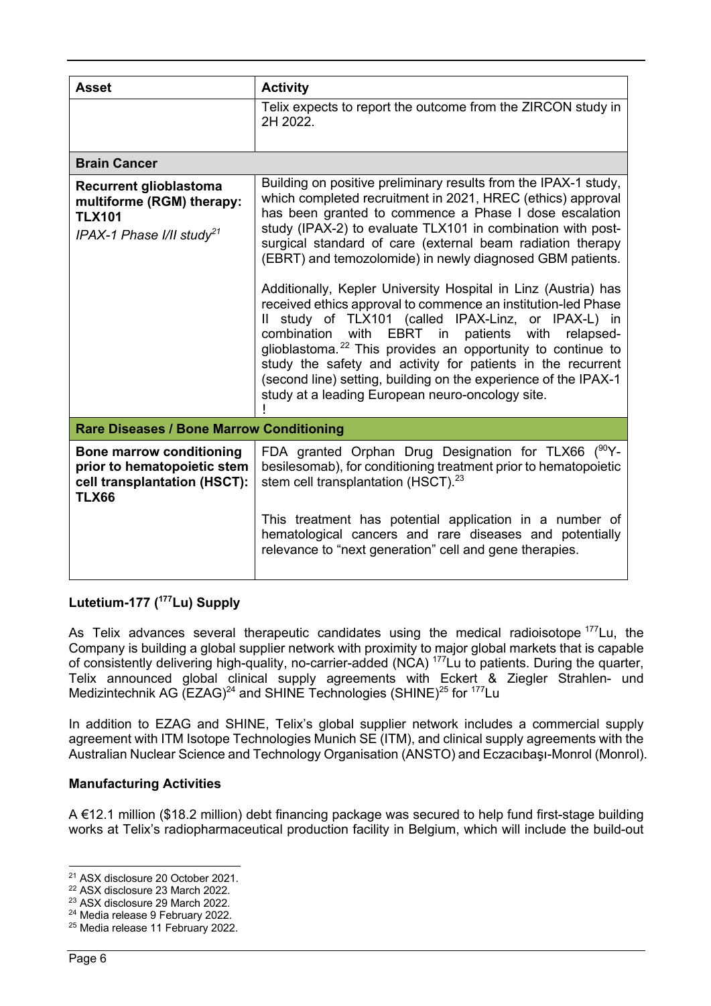| <b>Asset</b>                                                                                                         | <b>Activity</b>                                                                                                                                                                                                                                                                                                                                                                                                                                                                                                                                                                                                                                                                                                                                                                                                                                                                                   |
|----------------------------------------------------------------------------------------------------------------------|---------------------------------------------------------------------------------------------------------------------------------------------------------------------------------------------------------------------------------------------------------------------------------------------------------------------------------------------------------------------------------------------------------------------------------------------------------------------------------------------------------------------------------------------------------------------------------------------------------------------------------------------------------------------------------------------------------------------------------------------------------------------------------------------------------------------------------------------------------------------------------------------------|
|                                                                                                                      | Telix expects to report the outcome from the ZIRCON study in<br>2H 2022.                                                                                                                                                                                                                                                                                                                                                                                                                                                                                                                                                                                                                                                                                                                                                                                                                          |
| <b>Brain Cancer</b>                                                                                                  |                                                                                                                                                                                                                                                                                                                                                                                                                                                                                                                                                                                                                                                                                                                                                                                                                                                                                                   |
| <b>Recurrent glioblastoma</b><br>multiforme (RGM) therapy:<br><b>TLX101</b><br>IPAX-1 Phase I/II study <sup>21</sup> | Building on positive preliminary results from the IPAX-1 study,<br>which completed recruitment in 2021, HREC (ethics) approval<br>has been granted to commence a Phase I dose escalation<br>study (IPAX-2) to evaluate TLX101 in combination with post-<br>surgical standard of care (external beam radiation therapy<br>(EBRT) and temozolomide) in newly diagnosed GBM patients.<br>Additionally, Kepler University Hospital in Linz (Austria) has<br>received ethics approval to commence an institution-led Phase<br>Il study of TLX101 (called IPAX-Linz, or IPAX-L) in<br>combination with EBRT in patients with relapsed-<br>glioblastoma. <sup>22</sup> This provides an opportunity to continue to<br>study the safety and activity for patients in the recurrent<br>(second line) setting, building on the experience of the IPAX-1<br>study at a leading European neuro-oncology site. |
| <b>Rare Diseases / Bone Marrow Conditioning</b>                                                                      |                                                                                                                                                                                                                                                                                                                                                                                                                                                                                                                                                                                                                                                                                                                                                                                                                                                                                                   |
| <b>Bone marrow conditioning</b><br>prior to hematopoietic stem<br>cell transplantation (HSCT):<br><b>TLX66</b>       | FDA granted Orphan Drug Designation for TLX66 $(^{90}Y -$<br>besilesomab), for conditioning treatment prior to hematopoietic<br>stem cell transplantation (HSCT). <sup>23</sup>                                                                                                                                                                                                                                                                                                                                                                                                                                                                                                                                                                                                                                                                                                                   |
|                                                                                                                      | This treatment has potential application in a number of<br>hematological cancers and rare diseases and potentially<br>relevance to "next generation" cell and gene therapies.                                                                                                                                                                                                                                                                                                                                                                                                                                                                                                                                                                                                                                                                                                                     |

## **Lutetium-177 ( 177Lu) Supply**

As Telix advances several therapeutic candidates using the medical radioisotope<sup>177</sup>Lu, the Company is building a global supplier network with proximity to major global markets that is capable of consistently delivering high-quality, no-carrier-added (NCA) 177Lu to patients. During the quarter, Telix announced global clinical supply agreements with Eckert & Ziegler Strahlen- und Medizintechnik AG (EZAG)<sup>24</sup> and SHINE Technologies (SHINE)<sup>25</sup> for  $177$ Lu

In addition to EZAG and SHINE, Telix's global supplier network includes a commercial supply agreement with ITM Isotope Technologies Munich SE (ITM), and clinical supply agreements with the Australian Nuclear Science and Technology Organisation (ANSTO) and Eczacıbaşı-Monrol (Monrol).

### **Manufacturing Activities**

A €12.1 million (\$18.2 million) debt financing package was secured to help fund first-stage building works at Telix's radiopharmaceutical production facility in Belgium, which will include the build-out

<sup>21</sup> ASX disclosure 20 October 2021.

<sup>22</sup> ASX disclosure 23 March 2022.

<sup>23</sup> ASX disclosure 29 March 2022.

<sup>&</sup>lt;sup>24</sup> Media release 9 February 2022.

<sup>25</sup> Media release 11 February 2022.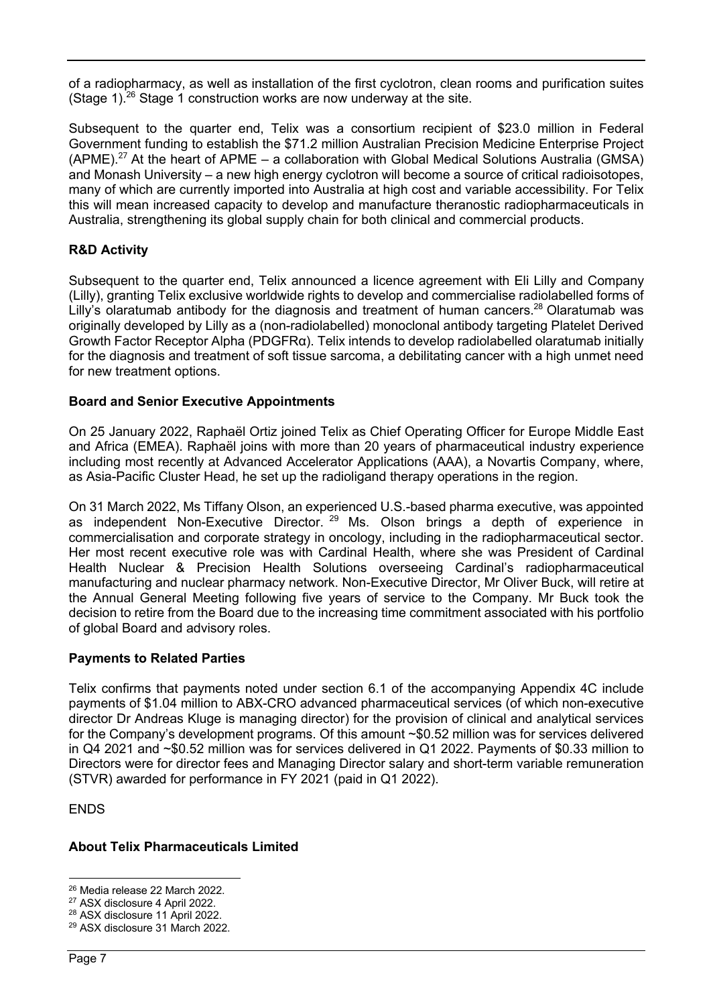of a radiopharmacy, as well as installation of the first cyclotron, clean rooms and purification suites (Stage 1).<sup>26</sup> Stage 1 construction works are now underway at the site.

Subsequent to the quarter end, Telix was a consortium recipient of \$23.0 million in Federal Government funding to establish the \$71.2 million Australian Precision Medicine Enterprise Project (APME).<sup>27</sup> At the heart of APME – a collaboration with Global Medical Solutions Australia (GMSA) and Monash University – a new high energy cyclotron will become a source of critical radioisotopes. many of which are currently imported into Australia at high cost and variable accessibility. For Telix this will mean increased capacity to develop and manufacture theranostic radiopharmaceuticals in Australia, strengthening its global supply chain for both clinical and commercial products.

### **R&D Activity**

Subsequent to the quarter end, Telix announced a licence agreement with Eli Lilly and Company (Lilly), granting Telix exclusive worldwide rights to develop and commercialise radiolabelled forms of Lilly's olaratumab antibody for the diagnosis and treatment of human cancers.<sup>28</sup> Olaratumab was originally developed by Lilly as a (non-radiolabelled) monoclonal antibody targeting Platelet Derived Growth Factor Receptor Alpha (PDGFRα). Telix intends to develop radiolabelled olaratumab initially for the diagnosis and treatment of soft tissue sarcoma, a debilitating cancer with a high unmet need for new treatment options.

### **Board and Senior Executive Appointments**

On 25 January 2022, Raphaël Ortiz joined Telix as Chief Operating Officer for Europe Middle East and Africa (EMEA). Raphaël joins with more than 20 years of pharmaceutical industry experience including most recently at Advanced Accelerator Applications (AAA), a Novartis Company, where, as Asia-Pacific Cluster Head, he set up the radioligand therapy operations in the region.

On 31 March 2022, Ms Tiffany Olson, an experienced U.S.-based pharma executive, was appointed as independent Non-Executive Director.<sup>29</sup> Ms. Olson brings a depth of experience in commercialisation and corporate strategy in oncology, including in the radiopharmaceutical sector. Her most recent executive role was with Cardinal Health, where she was President of Cardinal Health Nuclear & Precision Health Solutions overseeing Cardinal's radiopharmaceutical manufacturing and nuclear pharmacy network. Non-Executive Director, Mr Oliver Buck, will retire at the Annual General Meeting following five years of service to the Company. Mr Buck took the decision to retire from the Board due to the increasing time commitment associated with his portfolio of global Board and advisory roles.

#### **Payments to Related Parties**

Telix confirms that payments noted under section 6.1 of the accompanying Appendix 4C include payments of \$1.04 million to ABX-CRO advanced pharmaceutical services (of which non-executive director Dr Andreas Kluge is managing director) for the provision of clinical and analytical services for the Company's development programs. Of this amount ~\$0.52 million was for services delivered in Q4 2021 and ~\$0.52 million was for services delivered in Q1 2022. Payments of \$0.33 million to Directors were for director fees and Managing Director salary and short-term variable remuneration (STVR) awarded for performance in FY 2021 (paid in Q1 2022).

ENDS

### **About Telix Pharmaceuticals Limited**

<sup>26</sup> Media release 22 March 2022.

<sup>27</sup> ASX disclosure 4 April 2022.

<sup>28</sup> ASX disclosure 11 April 2022.

<sup>29</sup> ASX disclosure 31 March 2022.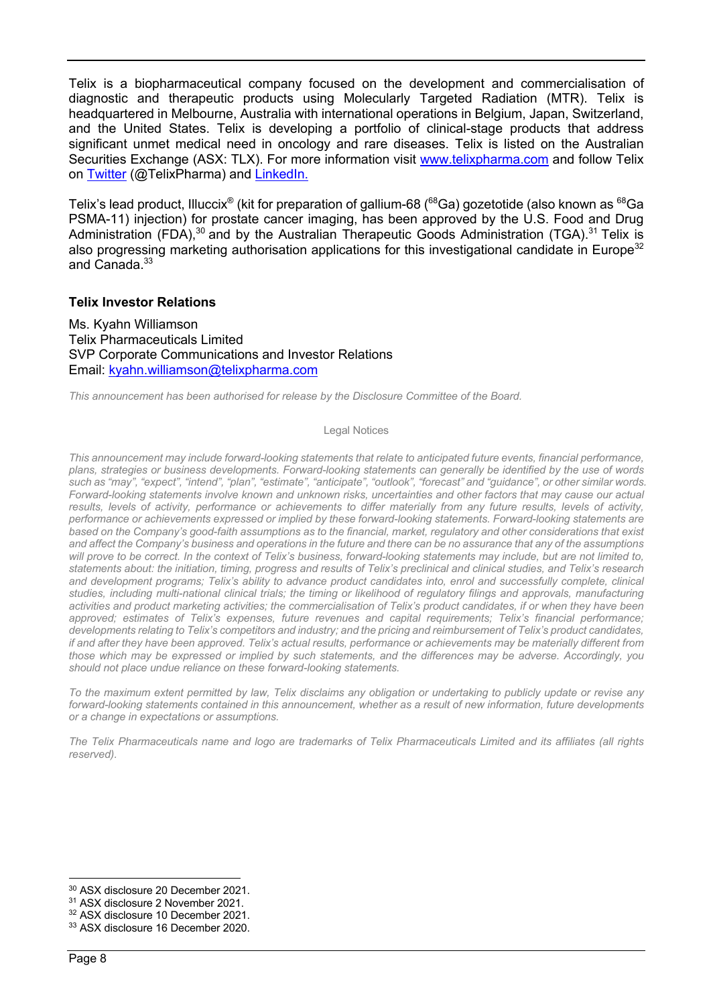Telix is a biopharmaceutical company focused on the development and commercialisation of diagnostic and therapeutic products using Molecularly Targeted Radiation (MTR). Telix is headquartered in Melbourne, Australia with international operations in Belgium, Japan, Switzerland, and the United States. Telix is developing a portfolio of clinical-stage products that address significant unmet medical need in oncology and rare diseases. Telix is listed on the Australian Securities Exchange (ASX: TLX). For more information visit www.telixpharma.com and follow Telix on Twitter (@TelixPharma) and LinkedIn.

Telix's lead product, Illuccix® (kit for preparation of gallium-68 (<sup>68</sup>Ga) gozetotide (also known as <sup>68</sup>Ga PSMA-11) injection) for prostate cancer imaging, has been approved by the U.S. Food and Drug Administration (FDA), $30$  and by the Australian Therapeutic Goods Administration (TGA).<sup>31</sup> Telix is also progressing marketing authorisation applications for this investigational candidate in Europe<sup>32</sup> and Canada.<sup>33</sup>

#### **Telix Investor Relations**

Ms. Kyahn Williamson Telix Pharmaceuticals Limited SVP Corporate Communications and Investor Relations Email: kyahn.williamson@telixpharma.com

*This announcement has been authorised for release by the Disclosure Committee of the Board.* 

#### Legal Notices

*This announcement may include forward-looking statements that relate to anticipated future events, financial performance, plans, strategies or business developments. Forward-looking statements can generally be identified by the use of words such as "may", "expect", "intend", "plan", "estimate", "anticipate", "outlook", "forecast" and "guidance", or other similar words. Forward-looking statements involve known and unknown risks, uncertainties and other factors that may cause our actual*  results, levels of activity, performance or achievements to differ materially from any future results, levels of activity, *performance or achievements expressed or implied by these forward-looking statements. Forward-looking statements are based on the Company's good-faith assumptions as to the financial, market, regulatory and other considerations that exist and affect the Company's business and operations in the future and there can be no assurance that any of the assumptions will prove to be correct. In the context of Telix's business, forward-looking statements may include, but are not limited to, statements about: the initiation, timing, progress and results of Telix's preclinical and clinical studies, and Telix's research and development programs; Telix's ability to advance product candidates into, enrol and successfully complete, clinical studies, including multi-national clinical trials; the timing or likelihood of regulatory filings and approvals, manufacturing activities and product marketing activities; the commercialisation of Telix's product candidates, if or when they have been approved; estimates of Telix's expenses, future revenues and capital requirements; Telix's financial performance; developments relating to Telix's competitors and industry; and the pricing and reimbursement of Telix's product candidates, if and after they have been approved. Telix's actual results, performance or achievements may be materially different from those which may be expressed or implied by such statements, and the differences may be adverse. Accordingly, you should not place undue reliance on these forward-looking statements.* 

*To the maximum extent permitted by law, Telix disclaims any obligation or undertaking to publicly update or revise any forward-looking statements contained in this announcement, whether as a result of new information, future developments or a change in expectations or assumptions.*

*The Telix Pharmaceuticals name and logo are trademarks of Telix Pharmaceuticals Limited and its affiliates (all rights reserved).*

<sup>30</sup> ASX disclosure 20 December 2021.

<sup>31</sup> ASX disclosure 2 November 2021.

<sup>32</sup> ASX disclosure 10 December 2021.

<sup>33</sup> ASX disclosure 16 December 2020.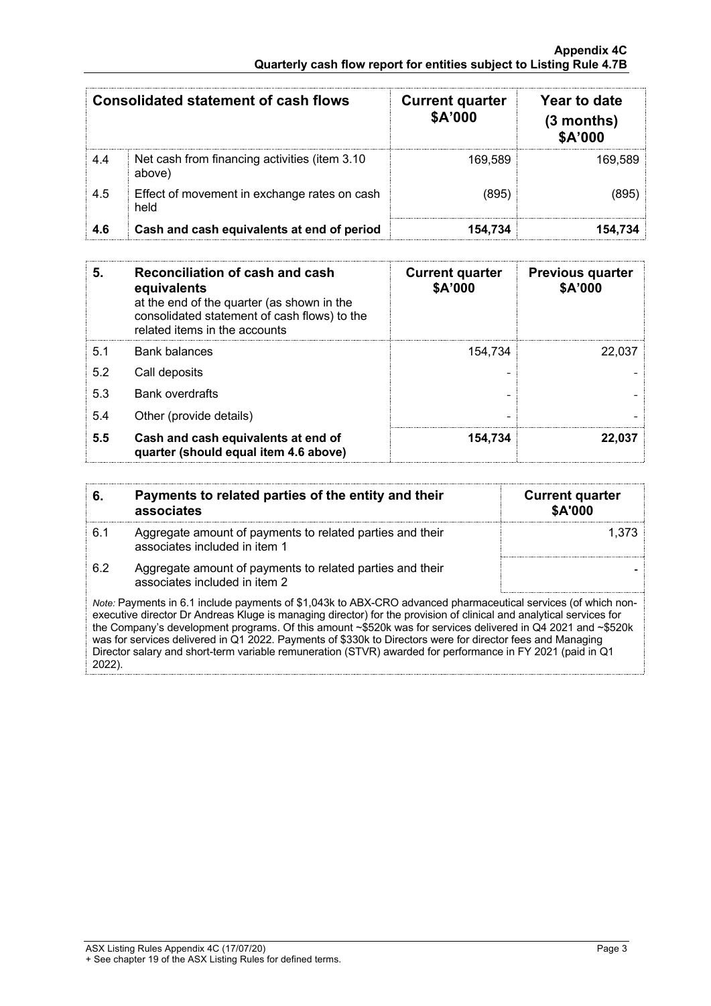| <b>Consolidated statement of cash flows</b> |                                                          | <b>Current quarter</b><br>\$A'000 | Year to date<br>$(3$ months)<br>\$A'000 |
|---------------------------------------------|----------------------------------------------------------|-----------------------------------|-----------------------------------------|
| 4.4                                         | Net cash from financing activities (item 3.10)<br>above) | 169.589                           | 169.589                                 |
| 4.5                                         | Effect of movement in exchange rates on cash<br>held     | (895)                             | (895)                                   |
| 4.6                                         | Cash and cash equivalents at end of period               | 154,734                           | 154,734                                 |

| 5.  | Reconciliation of cash and cash<br>equivalents<br>at the end of the quarter (as shown in the<br>consolidated statement of cash flows) to the<br>related items in the accounts | <b>Current quarter</b><br>\$A'000 | <b>Previous quarter</b><br>\$A'000 |
|-----|-------------------------------------------------------------------------------------------------------------------------------------------------------------------------------|-----------------------------------|------------------------------------|
| 5.1 | <b>Bank balances</b>                                                                                                                                                          | 154.734                           | 22.037                             |
| 5.2 | Call deposits                                                                                                                                                                 |                                   |                                    |
| 5.3 | <b>Bank overdrafts</b>                                                                                                                                                        |                                   |                                    |
| 5.4 | Other (provide details)                                                                                                                                                       | $\overline{a}$                    |                                    |
| 5.5 | Cash and cash equivalents at end of<br>quarter (should equal item 4.6 above)                                                                                                  | 154.734                           | 22.037                             |

| 6.                                                                                                                                                                                                                                                                                                                                                                                                                                                                                                                                                                                            | Payments to related parties of the entity and their<br>associates                          | <b>Current quarter</b><br><b>\$A'000</b> |  |
|-----------------------------------------------------------------------------------------------------------------------------------------------------------------------------------------------------------------------------------------------------------------------------------------------------------------------------------------------------------------------------------------------------------------------------------------------------------------------------------------------------------------------------------------------------------------------------------------------|--------------------------------------------------------------------------------------------|------------------------------------------|--|
| 6.1                                                                                                                                                                                                                                                                                                                                                                                                                                                                                                                                                                                           | Aggregate amount of payments to related parties and their<br>associates included in item 1 | 1.373                                    |  |
| 6.2                                                                                                                                                                                                                                                                                                                                                                                                                                                                                                                                                                                           | Aggregate amount of payments to related parties and their<br>associates included in item 2 |                                          |  |
| Note: Payments in 6.1 include payments of \$1,043k to ABX-CRO advanced pharmaceutical services (of which non-<br>executive director Dr Andreas Kluge is managing director) for the provision of clinical and analytical services for<br>the Company's development programs. Of this amount ~\$520k was for services delivered in Q4 2021 and ~\$520k<br>was for services delivered in Q1 2022. Payments of \$330k to Directors were for director fees and Managing<br>Director salary and short-term variable remuneration (STVR) awarded for performance in FY 2021 (paid in Q1<br>$2022$ ). |                                                                                            |                                          |  |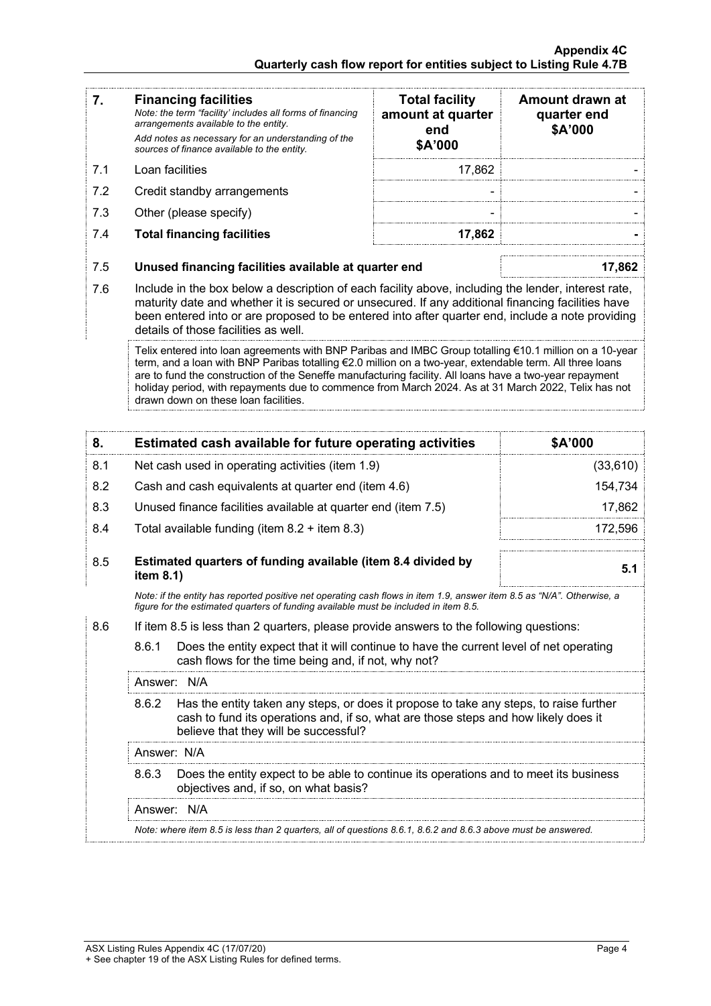| 7.                                                                                                                                                                                                             |                                                                                                                                                                                                                                                                                                                                                                                                                                                                               | <b>Financing facilities</b><br>Note: the term "facility' includes all forms of financing<br>arrangements available to the entity.<br>Add notes as necessary for an understanding of the<br>sources of finance available to the entity. | <b>Total facility</b><br>amount at quarter<br>end<br>\$A'000 | Amount drawn at<br>quarter end<br>\$A'000 |  |
|----------------------------------------------------------------------------------------------------------------------------------------------------------------------------------------------------------------|-------------------------------------------------------------------------------------------------------------------------------------------------------------------------------------------------------------------------------------------------------------------------------------------------------------------------------------------------------------------------------------------------------------------------------------------------------------------------------|----------------------------------------------------------------------------------------------------------------------------------------------------------------------------------------------------------------------------------------|--------------------------------------------------------------|-------------------------------------------|--|
| 7.1                                                                                                                                                                                                            |                                                                                                                                                                                                                                                                                                                                                                                                                                                                               | Loan facilities                                                                                                                                                                                                                        | 17,862                                                       |                                           |  |
| 7.2                                                                                                                                                                                                            |                                                                                                                                                                                                                                                                                                                                                                                                                                                                               | Credit standby arrangements                                                                                                                                                                                                            |                                                              |                                           |  |
| 7.3                                                                                                                                                                                                            |                                                                                                                                                                                                                                                                                                                                                                                                                                                                               | Other (please specify)                                                                                                                                                                                                                 |                                                              |                                           |  |
| 7.4                                                                                                                                                                                                            |                                                                                                                                                                                                                                                                                                                                                                                                                                                                               | <b>Total financing facilities</b>                                                                                                                                                                                                      | 17,862                                                       |                                           |  |
| 7.5                                                                                                                                                                                                            | Unused financing facilities available at quarter end                                                                                                                                                                                                                                                                                                                                                                                                                          |                                                                                                                                                                                                                                        |                                                              | 17,862                                    |  |
| 7.6                                                                                                                                                                                                            | Include in the box below a description of each facility above, including the lender, interest rate,<br>maturity date and whether it is secured or unsecured. If any additional financing facilities have<br>been entered into or are proposed to be entered into after quarter end, include a note providing<br>details of those facilities as well.                                                                                                                          |                                                                                                                                                                                                                                        |                                                              |                                           |  |
|                                                                                                                                                                                                                | Telix entered into loan agreements with BNP Paribas and IMBC Group totalling €10.1 million on a 10-year<br>term, and a loan with BNP Paribas totalling €2.0 million on a two-year, extendable term. All three loans<br>are to fund the construction of the Seneffe manufacturing facility. All loans have a two-year repayment<br>holiday period, with repayments due to commence from March 2024. As at 31 March 2022, Telix has not<br>drawn down on these loan facilities. |                                                                                                                                                                                                                                        |                                                              |                                           |  |
| 8.                                                                                                                                                                                                             | Estimated cash available for future operating activities<br>\$A'000                                                                                                                                                                                                                                                                                                                                                                                                           |                                                                                                                                                                                                                                        |                                                              |                                           |  |
| 8.1                                                                                                                                                                                                            | Net cash used in operating activities (item 1.9)                                                                                                                                                                                                                                                                                                                                                                                                                              |                                                                                                                                                                                                                                        |                                                              | (33,610)                                  |  |
| 8.2                                                                                                                                                                                                            | Cash and cash equivalents at quarter end (item 4.6)                                                                                                                                                                                                                                                                                                                                                                                                                           |                                                                                                                                                                                                                                        | 154,734                                                      |                                           |  |
| 8.3                                                                                                                                                                                                            | Unused finance facilities available at quarter end (item 7.5)                                                                                                                                                                                                                                                                                                                                                                                                                 |                                                                                                                                                                                                                                        |                                                              | 17,862                                    |  |
| 8.4                                                                                                                                                                                                            | Total available funding (item $8.2 +$ item $8.3$ )                                                                                                                                                                                                                                                                                                                                                                                                                            |                                                                                                                                                                                                                                        |                                                              | 172,596                                   |  |
| 8.5                                                                                                                                                                                                            | Estimated quarters of funding available (item 8.4 divided by<br>item 8.1)                                                                                                                                                                                                                                                                                                                                                                                                     |                                                                                                                                                                                                                                        |                                                              | 5.1                                       |  |
| Note: if the entity has reported positive net operating cash flows in item 1.9, answer item 8.5 as "N/A". Otherwise, a<br>figure for the estimated quarters of funding available must be included in item 8.5. |                                                                                                                                                                                                                                                                                                                                                                                                                                                                               |                                                                                                                                                                                                                                        |                                                              |                                           |  |
| 8.6                                                                                                                                                                                                            | If item 8.5 is less than 2 quarters, please provide answers to the following questions:                                                                                                                                                                                                                                                                                                                                                                                       |                                                                                                                                                                                                                                        |                                                              |                                           |  |
|                                                                                                                                                                                                                | 8.6.1<br>Does the entity expect that it will continue to have the current level of net operating<br>cash flows for the time being and, if not, why not?                                                                                                                                                                                                                                                                                                                       |                                                                                                                                                                                                                                        |                                                              |                                           |  |
|                                                                                                                                                                                                                | Answer: N/A                                                                                                                                                                                                                                                                                                                                                                                                                                                                   |                                                                                                                                                                                                                                        |                                                              |                                           |  |
|                                                                                                                                                                                                                | Has the entity taken any steps, or does it propose to take any steps, to raise further<br>8.6.2<br>cash to fund its operations and, if so, what are those steps and how likely does it<br>believe that they will be successful?                                                                                                                                                                                                                                               |                                                                                                                                                                                                                                        |                                                              |                                           |  |
|                                                                                                                                                                                                                | Answer: N/A                                                                                                                                                                                                                                                                                                                                                                                                                                                                   |                                                                                                                                                                                                                                        |                                                              |                                           |  |
|                                                                                                                                                                                                                | 8.6.3                                                                                                                                                                                                                                                                                                                                                                                                                                                                         | Does the entity expect to be able to continue its operations and to meet its business<br>objectives and, if so, on what basis?                                                                                                         |                                                              |                                           |  |

Answer: N/A

L